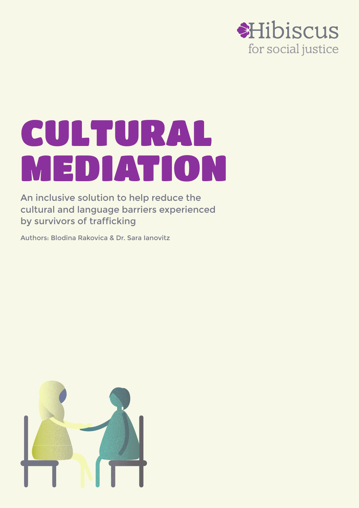

# CULTURAL MEDIATION

An inclusive solution to help reduce the cultural and language barriers experienced by survivors of trafficking

Authors: Blodina Rakovica & Dr. Sara Ianovitz

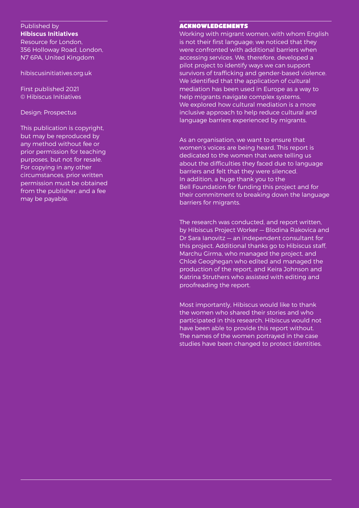Published by **Hibiscus Initiatives**

Resource for London, 356 Holloway Road, London, N7 6PA, United Kingdom

hibiscusinitiatives.org.uk

First published 2021 © Hibiscus Initiatives

Design: Prospectus

This publication is copyright, but may be reproduced by any method without fee or prior permission for teaching purposes, but not for resale. For copying in any other circumstances, prior written permission must be obtained from the publisher, and a fee may be payable.

#### ACKNOWLEDGEMENTS

Working with migrant women, with whom English is not their first language; we noticed that they were confronted with additional barriers when accessing services. We, therefore, developed a pilot project to identify ways we can support survivors of trafficking and gender-based violence. We identified that the application of cultural mediation has been used in Europe as a way to help migrants navigate complex systems. We explored how cultural mediation is a more inclusive approach to help reduce cultural and language barriers experienced by migrants.

As an organisation, we want to ensure that women's voices are being heard. This report is dedicated to the women that were telling us about the difficulties they faced due to language barriers and felt that they were silenced. In addition, a huge thank you to the Bell Foundation for funding this project and for their commitment to breaking down the language barriers for migrants.

The research was conducted, and report written, by Hibiscus Project Worker — Blodina Rakovica and Dr Sara Ianovitz — an independent consultant for this project. Additional thanks go to Hibiscus staff, Marchu Girma, who managed the project, and Chloé Geoghegan who edited and managed the production of the report, and Keira Johnson and Katrina Struthers who assisted with editing and proofreading the report.

Most importantly, Hibiscus would like to thank the women who shared their stories and who participated in this research. Hibiscus would not have been able to provide this report without. The names of the women portrayed in the case studies have been changed to protect identities.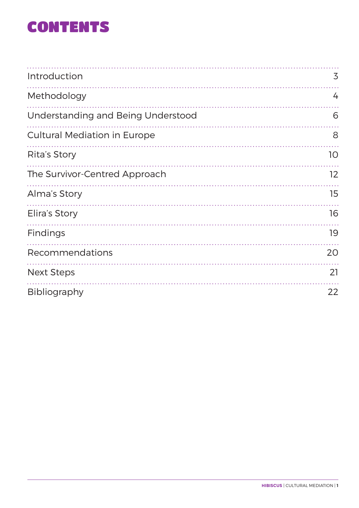### CONTENTS

| Introduction                        | 3                 |
|-------------------------------------|-------------------|
| Methodology                         | 4                 |
| Understanding and Being Understood  | 6                 |
| <b>Cultural Mediation in Europe</b> | 8                 |
| Rita's Story                        | 10 <sup>°</sup>   |
| The Survivor-Centred Approach       | $12 \overline{ }$ |
| Alma's Story                        | 15                |
| Elira's Story                       | 16                |
| Findings                            | 19                |
| Recommendations                     | 20                |
| <b>Next Steps</b>                   | 21                |
| Bibliography                        | 22                |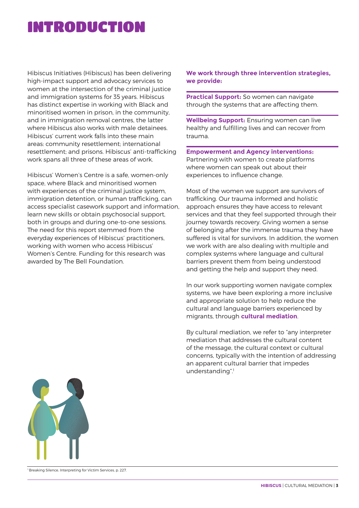### INTRODUCTION

Hibiscus Initiatives (Hibiscus) has been delivering high-impact support and advocacy services to women at the intersection of the criminal justice and immigration systems for 35 years. Hibiscus has distinct expertise in working with Black and minoritised women in prison, in the community, and in immigration removal centres, the latter where Hibiscus also works with male detainees. Hibiscus' current work falls into these main areas: community resettlement; international resettlement; and prisons. Hibiscus' anti-trafficking work spans all three of these areas of work.

Hibiscus' Women's Centre is a safe, women-only space, where Black and minoritised women with experiences of the criminal justice system, immigration detention, or human trafficking, can access specialist casework support and information, learn new skills or obtain psychosocial support, both in groups and during one-to-one sessions. The need for this report stemmed from the everyday experiences of Hibiscus' practitioners, working with women who access Hibiscus' Women's Centre. Funding for this research was awarded by The Bell Foundation.

**We work through three intervention strategies, we provide:**

**Practical Support:** So women can navigate through the systems that are affecting them.

**Wellbeing Support:** Ensuring women can live healthy and fulfilling lives and can recover from trauma.

**Empowerment and Agency interventions:** Partnering with women to create platforms where women can speak out about their experiences to influence change.

Most of the women we support are survivors of trafficking. Our trauma informed and holistic approach ensures they have access to relevant services and that they feel supported through their journey towards recovery. Giving women a sense of belonging after the immense trauma they have suffered is vital for survivors. In addition, the women we work with are also dealing with multiple and complex systems where language and cultural barriers prevent them from being understood and getting the help and support they need.

In our work supporting women navigate complex systems, we have been exploring a more inclusive and appropriate solution to help reduce the cultural and language barriers experienced by migrants, through **cultural mediation**.

By cultural mediation, we refer to "any interpreter mediation that addresses the cultural content of the message, the cultural context or cultural concerns, typically with the intention of addressing an apparent cultural barrier that impedes understanding".<sup>1</sup>



1 Breaking Silence, Interpreting for Victim Services, p. 227.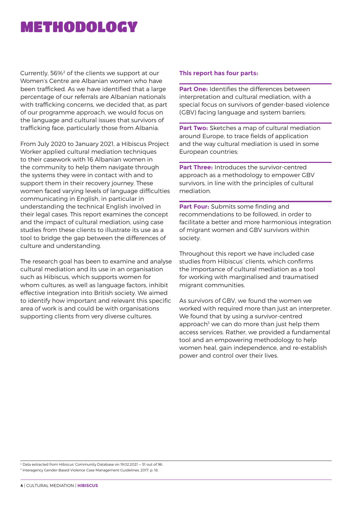### METHODOLOGY

Currently, 56%2 of the clients we support at our Women's Centre are Albanian women who have been trafficked. As we have identified that a large percentage of our referrals are Albanian nationals with trafficking concerns, we decided that, as part of our programme approach, we would focus on the language and cultural issues that survivors of trafficking face, particularly those from Albania.

From July 2020 to January 2021, a Hibiscus Project Worker applied cultural mediation techniques to their casework with 16 Albanian women in the community to help them navigate through the systems they were in contact with and to support them in their recovery journey. These women faced varying levels of language difficulties communicating in English, in particular in understanding the technical English involved in their legal cases. This report examines the concept and the impact of cultural mediation, using case studies from these clients to illustrate its use as a tool to bridge the gap between the differences of culture and understanding.

The research goal has been to examine and analyse cultural mediation and its use in an organisation such as Hibiscus, which supports women for whom cultures, as well as language factors, inhibit effective integration into British society. We aimed to identify how important and relevant this specific area of work is and could be with organisations supporting clients from very diverse cultures.

#### **This report has four parts:**

**Part One:** Identifies the differences between interpretation and cultural mediation, with a special focus on survivors of gender-based violence (GBV) facing language and system barriers;

**Part Two:** Sketches a map of cultural mediation around Europe, to trace fields of application and the way cultural mediation is used in some European countries;

**Part Three:** Introduces the survivor-centred approach as a methodology to empower GBV survivors, in line with the principles of cultural mediation.

**Part Four:** Submits some finding and recommendations to be followed, in order to facilitate a better and more harmonious integration of migrant women and GBV survivors within society.

Throughout this report we have included case studies from Hibiscus' clients, which confirms the importance of cultural mediation as a tool for working with marginalised and traumatised migrant communities.

As survivors of GBV, we found the women we worked with required more than just an interpreter. We found that by using a survivor-centred approach<sup>3</sup> we can do more than just help them access services. Rather, we provided a fundamental tool and an empowering methodology to help women heal, gain independence, and re-establish power and control over their lives.

2 Data extracted from Hibiscus' Community Database on 19.02.2021 — 51 out of 96. 3 Interagency Gender-Based Violence Case Management Guidelines, 2017, p. 18.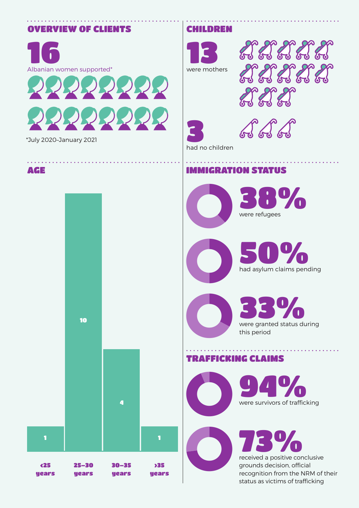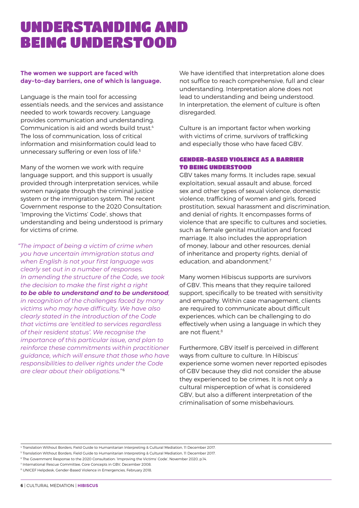### UNDERSTANDING AND BEING UNDERSTOOD

#### **The women we support are faced with day-to-day barriers, one of which is language.**

Language is the main tool for accessing essentials needs, and the services and assistance needed to work towards recovery. Language provides communication and understanding. Communication is aid and words build trust.<sup>4</sup> The loss of communication, loss of critical information and misinformation could lead to unnecessary suffering or even loss of life.<sup>5</sup>

Many of the women we work with require language support, and this support is usually provided through interpretation services, while women navigate through the criminal justice system or the immigration system. The recent Government response to the 2020 Consultation: 'Improving the Victims' Code', shows that understanding and being understood is primary for victims of crime.

*"The impact of being a victim of crime when you have uncertain immigration status and when English is not your first language was clearly set out in a number of responses. In amending the structure of the Code, we took the decision to make the first right a right to be able to understand and to be understood, in recognition of the challenges faced by many victims who may have difficulty. We have also clearly stated in the introduction of the Code that victims are 'entitled to services regardless of their resident status'. We recognise the importance of this particular issue, and plan to reinforce these commitments within practitioner guidance, which will ensure that those who have responsibilities to deliver rights under the Code are clear about their obligations."* <sup>6</sup>

We have identified that interpretation alone does not suffice to reach comprehensive, full and clear understanding. Interpretation alone does not lead to understanding and being understood. In interpretation, the element of culture is often disregarded.

Culture is an important factor when working with victims of crime, survivors of trafficking and especially those who have faced GBV.

#### GENDER-BASED VIOLENCE AS A BARRIER TO BEING UNDERSTOOD

GBV takes many forms. It includes rape, sexual exploitation, sexual assault and abuse, forced sex and other types of sexual violence, domestic violence, trafficking of women and girls, forced prostitution, sexual harassment and discrimination, and denial of rights. It encompasses forms of violence that are specific to cultures and societies, such as female genital mutilation and forced marriage. It also includes the appropriation of money, labour and other resources, denial of inheritance and property rights, denial of education, and abandonment.<sup>7</sup>

Many women Hibiscus supports are survivors of GBV. This means that they require tailored support, specifically to be treated with sensitivity and empathy. Within case management, clients are required to communicate about difficult experiences, which can be challenging to do effectively when using a language in which they are not fluent.<sup>8</sup>

Furthermore, GBV itself is perceived in different ways from culture to culture. In Hibiscus' experience some women never reported episodes of GBV because they did not consider the abuse they experienced to be crimes. It is not only a cultural misperception of what is considered GBV, but also a different interpretation of the criminalisation of some misbehaviours.

4 Translation Without Borders, Field Guide to Humanitarian Interpreting & Cultural Mediation, 11 December 2017.

5 Translation Without Borders, Field Guide to Humanitarian Interpreting & Cultural Mediation, 11 December 2017.

6 The Government Response to the 2020 Consultation: 'Improving the Victims' Code', November 2020, p.14.

7 International Rescue Committee, Core Concepts in GBV, December 2008.

8 UNICEF Helpdesk, Gender-Based Violence in Emergencies, February 2018.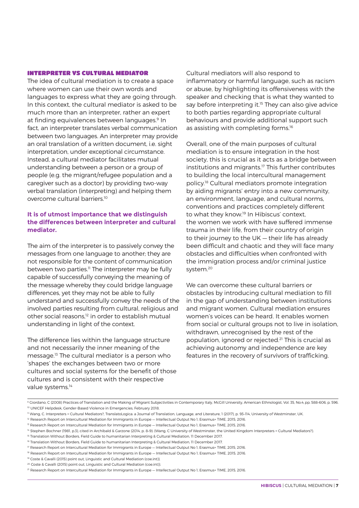#### INTERPRETER VS CULTURAL MEDIATOR

The idea of cultural mediation is to create a space where women can use their own words and languages to express what they are going through. In this context, the cultural mediator is asked to be much more than an interpreter, rather an expert at finding equivalences between languages.<sup>9</sup> In fact, an interpreter translates verbal communication between two languages. An interpreter may provide an oral translation of a written document, i.e. sight interpretation, under exceptional circumstance. Instead, a cultural mediator facilitates mutual understanding between a person or a group of people (e.g. the migrant/refugee population and a caregiver such as a doctor) by providing two-way verbal translation (interpreting) and helping them overcome cultural barriers.10

#### **It is of utmost importance that we distinguish the differences between interpreter and cultural mediator.**

The aim of the interpreter is to passively convey the messages from one language to another; they are not responsible for the content of communication between two parties.<sup>11</sup> The interpreter may be fully capable of successfully conveying the meaning of the message whereby they could bridge language differences, yet they may not be able to fully understand and successfully convey the needs of the involved parties resulting from cultural, religious and other social reasons,<sup>12</sup> in order to establish mutual understanding in light of the context.

The difference lies within the language structure and not necessarily the inner meaning of the message.13 The cultural mediator is a person who 'shapes' the exchanges between two or more cultures and social systems for the benefit of those cultures and is consistent with their respective value systems.<sup>14</sup>

Cultural mediators will also respond to inflammatory or harmful language, such as racism or abuse, by highlighting its offensiveness with the speaker and checking that is what they wanted to say before interpreting it. $15$  They can also give advice to both parties regarding appropriate cultural behaviours and provide additional support such as assisting with completing forms.<sup>16</sup>

Overall, one of the main purposes of cultural mediation is to ensure integration in the host society, this is crucial as it acts as a bridge between institutions and migrants.<sup>17</sup> This further contributes to building the local intercultural management policy.18 Cultural mediators promote integration by aiding migrants' entry into a new community, an environment, language, and cultural norms, conventions and practices completely different to what they know.19 In Hibiscus' context, the women we work with have suffered immense trauma in their life, from their country of origin to their journey to the UK — their life has already been difficult and chaotic and they will face many obstacles and difficulties when confronted with the immigration process and/or criminal justice system.20

We can overcome these cultural barriers or obstacles by introducing cultural mediation to fill in the gap of understanding between institutions and migrant women. Cultural mediation ensures women's voices can be heard. It enables women from social or cultural groups not to live in isolation, withdrawn, unrecognised by the rest of the population, ignored or rejected.21 This is crucial as achieving autonomy and independence are key features in the recovery of survivors of trafficking.

<sup>9</sup> Giordano, C (2008) Practices of Translation and the Making of Migrant Subjectivities in Contemporary Italy, McGill University, American Ethnologist, Vol. 35, No.4, pp. 588-606, p. 596. <sup>10</sup> UNICEF Helpdesk, Gender-Based Violence in Emergencies, February 2018.

<sup>11</sup> Wang, C. Interpreters = Cultural Mediators?, TranslatoLogica: a Journal of Translation, Language, and Literature, 1 (2017), p. 93–114, University of Westminster, UK.

<sup>&</sup>lt;sup>12</sup> Research Report on Intercultural Mediation for Immigrants in Europe — Intellectual Output No 1, Erasmus+ TIME, 2015, 2016.

<sup>&</sup>lt;sup>13</sup> Research Report on Intercultural Mediation for Immigrants in Europe – Intellectual Output No 1, Erasmus+ TIME, 2015, 2016.

<sup>&</sup>lt;sup>14</sup> Stephen Bochner (1981, p.3), cited in Archibald & Garzone (2014, p. 8–9): (Wang, C University of Westminster, the United Kingdom Interpreters = Cultural Mediators?).

<sup>&</sup>lt;sup>15</sup> Translation Without Borders, Field Guide to humanitarian Interpreting & Cultural Mediation, 11 December 2017.

<sup>16</sup> Translation Without Borders, Field Guide to humanitarian Interpreting & Cultural Mediation, 11 December 2017.

<sup>17</sup> Research Report on Intercultural Mediation for Immigrants in Europe — Intellectual Output No 1, Erasmus+ TIME, 2015, 2016.

<sup>&</sup>lt;sup>18</sup> Research Report on Intercultural Mediation for Immigrants in Europe — Intellectual Output No 1, Erasmus+ TIME, 2015, 2016.

<sup>&</sup>lt;sup>19</sup> Coste & Cavalli (2015) point out, Linguistic and Cultural Mediation (coe.int)).

<sup>&</sup>lt;sup>20</sup> Coste & Cavalli (2015) point out, Linguistic and Cultural Mediation (coe.int)).

<sup>21</sup> Research Report on Intercultural Mediation for Immigrants in Europe — Intellectual Output No 1, Erasmus+ TIME, 2015, 2016.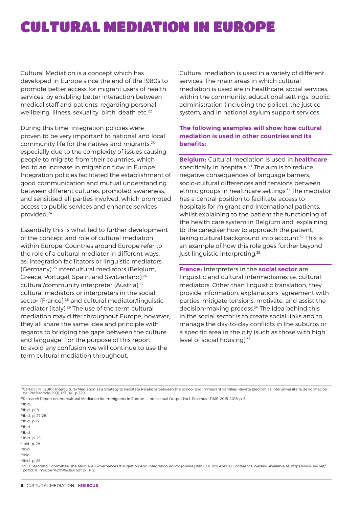### CULTURAL MEDIATION IN EUROPE

Cultural Mediation is a concept which has developed in Europe since the end of the 1980s to promote better access for migrant users of health services, by enabling better interaction between medical staff and patients, regarding personal wellbeing, illness, sexuality, birth, death etc.<sup>22</sup>

During this time, integration policies were proven to be very important to national and local community life for the natives and migrants,23 especially due to the complexity of issues causing people to migrate from their countries, which led to an increase in migration flow in Europe. Integration policies facilitated the establishment of good communication and mutual understanding between different cultures, promoted awareness, and sensitised all parties involved, which promoted access to public services and enhance services provided.24

Essentially this is what led to further development of the concept and role of cultural mediation within Europe. Countries around Europe refer to the role of a cultural mediator in different ways, as: integration facilitators or linguistic mediators (Germany),25 intercultural mediators (Belgium, Greece, Portugal, Spain, and Switzerland),<sup>26</sup> cultural/community interpreter (Austria),<sup>27</sup> cultural mediators or interpreters in the social sector (France),<sup>28</sup> and cultural mediator/linguistic mediator (Italy).29 The use of the term cultural mediation may differ throughout Europe, however, they all share the same idea and principle with regards to bridging the gaps between the culture and language. For the purpose of this report, to avoid any confusion we will continue to use the term cultural mediation throughout.

Cultural mediation is used in a variety of different services. The main areas in which cultural mediation is used are in healthcare, social services, within the community, educational settings, public administration (including the police), the justice system, and in national asylum support services.

#### **The following examples will show how cultural mediation is used in other countries and its benefits:**

**Belgium:** Cultural mediation is used in **healthcare** specifically in hospitals.<sup>30</sup> The aim is to reduce negative consequences of language barriers, socio-cultural differences and tensions between ethnic groups in healthcare settings.<sup>31</sup> The mediator has a central position to facilitate access to hospitals for migrant and international patients, whilst explaining to the patient the functioning of the health care system in Belgium and, explaining to the caregiver how to approach the patient, taking cultural background into account.<sup>32</sup> This is an example of how this role goes further beyond just linguistic interpreting.<sup>33</sup>

**France:** Interpreters in the **social sector** are linguistic and cultural intermediaries i.e. cultural mediators. Other than linguistic translation, they provide information, explanations, agreement with parties, mitigate tensions, motivate, and assist the decision-making process.34 The idea behind this in the social sector is to create social links and to manage the day-to-day conflicts in the suburbs or a specific area in the city (such as those with high level of social housing).<sup>35</sup>

 $24$ Ibid.

 $25$ Ibid., p.18

26Ibid., p. 27–28.

27Ibid., p.27.

28Ibid. 29Ibid.

30Ibid., p. 25.

31Ibid., p. 28.

 $32$ Ibid

 $33$ Ibid  $34$ Ibid., p. 28.

352011. Standing Committee 'The Multilevel Governance Of Migration And Integration Policy'. [online] IMISCOE 8th Annual Conference Warsaw. Available at: https://www.iriv.net/<br>pdf/2011-Imiscoe-%20Warsaw.pdf, p. 11-12.

<sup>&</sup>lt;sup>22</sup>Cartarci, M. (2016). Intercultural Mediation as a Strategy to Facilitate Relations between the School and Immigrant Families. Revista Electronica Interuniversitaria de Formacion del Profesorado, 19(1), 127-140, p. 129.

<sup>23</sup>Research Report on Intercultural Mediation for Immigrants in Europe — Intellectual Output No 1, Erasmus+ TIME, 2015, 2016, p. 5.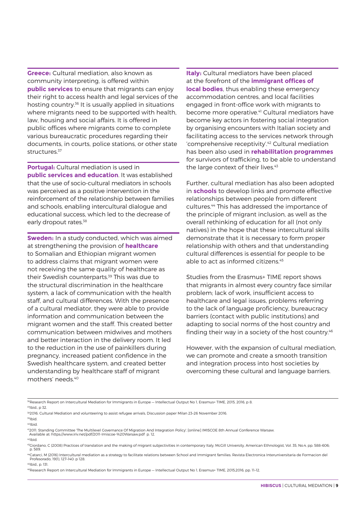**Greece:** Cultural mediation, also known as community interpreting, is offered within **public services** to ensure that migrants can enjoy their right to access health and legal services of the hosting country.36 It is usually applied in situations where migrants need to be supported with health, law, housing and social affairs. It is offered in public offices where migrants come to complete various bureaucratic procedures regarding their documents, in courts, police stations, or other state structures.<sup>37</sup>

**Portugal:** Cultural mediation is used in **public services and education**. It was established that the use of socio-cultural mediators in schools was perceived as a positive intervention in the reinforcement of the relationship between families and schools, enabling intercultural dialogue and educational success, which led to the decrease of early dropout rates.<sup>38</sup>

**Sweden:** In a study conducted, which was aimed at strengthening the provision of **healthcare** to Somalian and Ethiopian migrant women to address claims that migrant women were not receiving the same quality of healthcare as their Swedish counterparts.<sup>39</sup> This was due to the structural discrimination in the healthcare system, a lack of communication with the health staff, and cultural differences. With the presence of a cultural mediator, they were able to provide information and communication between the migrant women and the staff. This created better communication between midwives and mothers and better interaction in the delivery room. It led to the reduction in the use of painkillers during pregnancy, increased patient confidence in the Swedish healthcare system, and created better understanding by healthcare staff of migrant mothers' needs.40

**Italy:** Cultural mediators have been placed at the forefront of the **immigrant offices of local bodies**, thus enabling these emergency accommodation centres, and local facilities engaged in front-office work with migrants to become more operative.<sup>41</sup> Cultural mediators have become key actors in fostering social integration by organising encounters with Italian society and facilitating access to the services network through 'comprehensive receptivity'.42 Cultural mediation has been also used in **rehabilitation programmes** for survivors of trafficking, to be able to understand the large context of their lives.<sup>43</sup>

Further, cultural mediation has also been adopted in **schools** to develop links and promote effective relationships between people from different cultures.44 This has addressed the importance of the principle of migrant inclusion, as well as the overall rethinking of education for all (not only natives) in the hope that these intercultural skills demonstrate that it is necessary to form proper relationship with others and that understanding cultural differences is essential for people to be able to act as informed citizens.<sup>45</sup>

Studies from the Erasmus+ TIME report shows that migrants in almost every country face similar problem; lack of work, insufficient access to healthcare and legal issues, problems referring to the lack of language proficiency, bureaucracy barriers (contact with public institutions) and adapting to social norms of the host country and finding their way in a society of the host country.<sup>46</sup>

However, with the expansion of cultural mediation, we can promote and create a smooth transition and integration process into host societies by overcoming these cultural and language barriers.

 $37$ Ibid., p 32.

40Ibid.

<sup>&</sup>lt;sup>36</sup>Research Report on Intercultural Mediation for Immigrants in Europe — Intellectual Output No 1, Erasmus+ TIME, 2015, 2016, p 8.

<sup>&</sup>lt;sup>38</sup>2016. Cultural Mediation and volunteering to assist refugee arrivals, Discussion paper Milan 23-26 November 2016. 39Ibid.

<sup>412011.</sup> Standing Committee 'The Multilevel Governance Of Migration And Integration Policy'. [online] IMISCOE 8th Annual Conference Warsaw. Available at: https://www.iriv.net/pdf/2011-Imiscoe-%20Warsaw.pdf p. 12.

<sup>42</sup>Ibid.

<sup>43</sup>Giordano, C (2008) Practices of translation and the making of migrant subjectivities in contemporary Italy, McGill University, American Ethnologist, Vol. 35, No.4, pp. 588–606; p. 589.

<sup>&</sup>quot;Catarci, M (2016) Intercultural mediation as a strategy to facilitate relations between School and Immigrant families. Revista Electronica Interuniversitaria de Formacion del<br>Profesorado, 19(1), 127-140: p 128.

<sup>45</sup>Ibid., p. 131.

<sup>46</sup>Research Report on Intercultural Mediation for Immigrants in Europe — Intellectual Output No 1, Erasmus+ TIME, 2015,2016, pp. 11–12.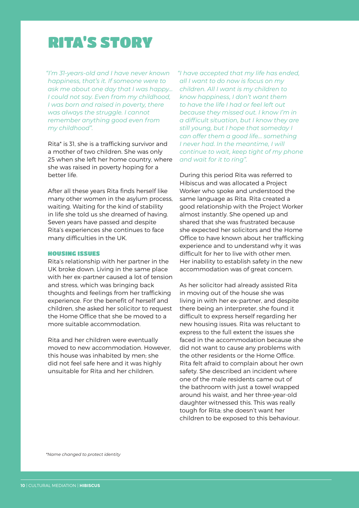### RITA'S STORY

 *"I'm 31-years-old and I have never known happiness, that's it. If someone were to ask me about one day that I was happy… I could not say. Even from my childhood, I was born and raised in poverty, there was always the struggle. I cannot remember anything good even from my childhood".*

Rita\* is 31, she is a trafficking survivor and a mother of two children. She was only 25 when she left her home country, where she was raised in poverty hoping for a better life.

After all these years Rita finds herself like many other women in the asylum process, waiting. Waiting for the kind of stability in life she told us she dreamed of having. Seven years have passed and despite Rita's experiences she continues to face many difficulties in the UK.

#### HOUSING ISSUES

Rita's relationship with her partner in the UK broke down. Living in the same place with her ex-partner caused a lot of tension and stress, which was bringing back thoughts and feelings from her trafficking experience. For the benefit of herself and children, she asked her solicitor to request the Home Office that she be moved to a more suitable accommodation.

Rita and her children were eventually moved to new accommodation. However, this house was inhabited by men; she did not feel safe here and it was highly unsuitable for Rita and her children.

 *"I have accepted that my life has ended, all I want to do now is focus on my children. All I want is my children to know happiness, I don't want them to have the life I had or feel left out because they missed out. I know I'm in a difficult situation, but I know they are still young, but I hope that someday I can offer them a good life… something I never had. In the meantime, I will continue to wait, keep tight of my phone and wait for it to ring".*

During this period Rita was referred to Hibiscus and was allocated a Project Worker who spoke and understood the same language as Rita. Rita created a good relationship with the Project Worker almost instantly. She opened up and shared that she was frustrated because she expected her solicitors and the Home Office to have known about her trafficking experience and to understand why it was difficult for her to live with other men. Her inability to establish safety in the new accommodation was of great concern.

As her solicitor had already assisted Rita in moving out of the house she was living in with her ex-partner, and despite there being an interpreter, she found it difficult to express herself regarding her new housing issues. Rita was reluctant to express to the full extent the issues she faced in the accommodation because she did not want to cause any problems with the other residents or the Home Office. Rita felt afraid to complain about her own safety. She described an incident where one of the male residents came out of the bathroom with just a towel wrapped around his waist, and her three-year-old daughter witnessed this. This was really tough for Rita; she doesn't want her children to be exposed to this behaviour.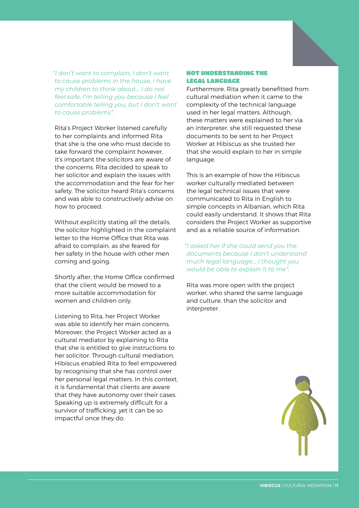*"I don't want to complain, I don't want to cause problems in the house, I have my children to think about… I do not feel safe. I'm telling you because I feel comfortable telling you, but I don't want to cause problems".*

Rita's Project Worker listened carefully to her complaints and informed Rita that she is the one who must decide to take forward the complaint however, it's important the solicitors are aware of the concerns. Rita decided to speak to her solicitor and explain the issues with the accommodation and the fear for her safety. The solicitor heard Rita's concerns and was able to constructively advise on how to proceed.

Without explicitly stating all the details, the solicitor highlighted in the complaint letter to the Home Office that Rita was afraid to complain, as she feared for her safety in the house with other men coming and going.

Shortly after, the Home Office confirmed that the client would be moved to a more suitable accommodation for women and children only.

Listening to Rita, her Project Worker was able to identify her main concerns. Moreover, the Project Worker acted as a cultural mediator by explaining to Rita that she is entitled to give instructions to her solicitor. Through cultural mediation, Hibiscus enabled Rita to feel empowered by recognising that she has control over her personal legal matters. In this context, it is fundamental that clients are aware that they have autonomy over their cases. Speaking up is extremely difficult for a survivor of trafficking, yet it can be so impactful once they do.

#### NOT UNDERSTANDING THE LEGAL LANGUAGE

Furthermore, Rita greatly benefitted from cultural mediation when it came to the complexity of the technical language used in her legal matters. Although, these matters were explained to her via an interpreter, she still requested these documents to be sent to her Project Worker at Hibiscus as she trusted her that she would explain to her in simple language.

This is an example of how the Hibiscus worker culturally mediated between the legal technical issues that were communicated to Rita in English to simple concepts in Albanian, which Rita could easily understand. It shows that Rita considers the Project Worker as supportive and as a reliable source of information.

 *"I asked her if she could send you the documents because I don't understand much legal language… I thought you would be able to explain it to me".*

Rita was more open with the project worker, who shared the same language and culture, than the solicitor and interpreter.

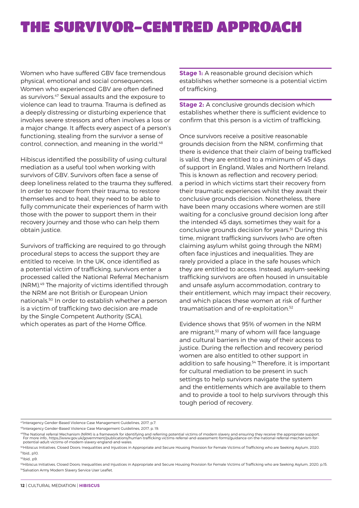### THE SURVIVOR-CENTRED APPROACH

Women who have suffered GBV face tremendous physical, emotional and social consequences. Women who experienced GBV are often defined as survivors.<sup>47</sup> Sexual assaults and the exposure to violence can lead to trauma. Trauma is defined as a deeply distressing or disturbing experience that involves severe stressors and often involves a loss or a major change. It affects every aspect of a person's functioning, stealing from the survivor a sense of control, connection, and meaning in the world.<sup>48</sup>

Hibiscus identified the possibility of using cultural mediation as a useful tool when working with survivors of GBV. Survivors often face a sense of deep loneliness related to the trauma they suffered. In order to recover from their trauma, to restore themselves and to heal, they need to be able to fully communicate their experiences of harm with those with the power to support them in their recovery journey and those who can help them obtain justice.

Survivors of trafficking are required to go through procedural steps to access the support they are entitled to receive. In the UK, once identified as a potential victim of trafficking, survivors enter a processed called the National Referral Mechanism (NRM).49 The majority of victims identified through the NRM are not British or European Union nationals.50 In order to establish whether a person is a victim of trafficking two decision are made by the Single Competent Authority (SCA), which operates as part of the Home Office.

**Stage 1:** A reasonable ground decision which establishes whether someone is a potential victim of trafficking.

**Stage 2:** A conclusive grounds decision which establishes whether there is sufficient evidence to confirm that this person is a victim of trafficking.

Once survivors receive a positive reasonable grounds decision from the NRM, confirming that there is evidence that their claim of being trafficked is valid, they are entitled to a minimum of 45 days of support in England, Wales and Northern Ireland. This is known as reflection and recovery period; a period in which victims start their recovery from their traumatic experiences whilst they await their conclusive grounds decision. Nonetheless, there have been many occasions where women are still waiting for a conclusive ground decision long after the intended 45 days, sometimes they wait for a conclusive grounds decision for years.<sup>51</sup> During this time, migrant trafficking survivors (who are often claiming asylum whilst going through the NRM) often face injustices and inequalities. They are rarely provided a place in the safe houses which they are entitled to access. Instead, asylum-seeking trafficking survivors are often housed in unsuitable and unsafe asylum accommodation, contrary to their entitlement, which may impact their recovery, and which places these women at risk of further traumatisation and of re-exploitation.<sup>52</sup>

Evidence shows that 95% of women in the NRM are migrant,<sup>53</sup> many of whom will face language and cultural barriers in the way of their access to justice. During the reflection and recovery period women are also entitled to other support in addition to safe housing.<sup>54</sup> Therefore, it is important for cultural mediation to be present in such settings to help survivors navigate the system and the entitlements which are available to them and to provide a tool to help survivors through this tough period of recovery.

<sup>47</sup>Interagency Gender-Based Violence Case Management Guidelines, 2017, p.7.

<sup>49</sup>The National referral Mechanism (NRM) is a framework for identifying and referring potential victims of modern slavery and ensuring they receive the appropriate support.<br>For more info:, https://www.gov.uk/government/pu

<sup>50</sup>Hibiscus Initiatives, Closed Doors; Inequalities and Injustices in Appropriate and Secure Housing Provision for Female Victims of Trafficking who are Seeking Asylum, 2020. 51Ibid., p10.

#### 52Ibid., p9.

53Hibiscus Initiatives, Closed Doors; Inequalities and Injustices in Appropriate and Secure Housing Provision for Female Victims of Trafficking who are Seeking Asylum, 2020, p.15. 54Salvation Army Modern Slavery Service User Leaflet

<sup>48</sup>Interagency Gender-Based Violence Case Management Guidelines, 2017, p. 19.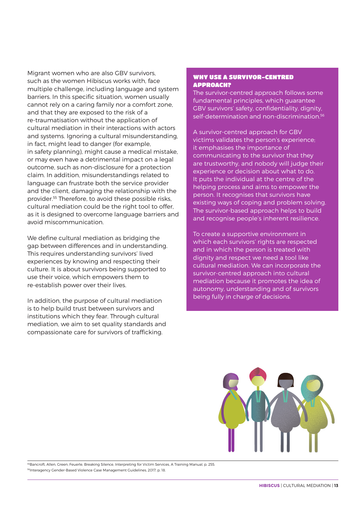Migrant women who are also GBV survivors, such as the women Hibiscus works with, face multiple challenge, including language and system barriers. In this specific situation, women usually cannot rely on a caring family nor a comfort zone, and that they are exposed to the risk of a re-traumatisation without the application of cultural mediation in their interactions with actors and systems. Ignoring a cultural misunderstanding, in fact, might lead to danger (for example, in safety planning), might cause a medical mistake, or may even have a detrimental impact on a legal outcome, such as non-disclosure for a protection claim. In addition, misunderstandings related to language can frustrate both the service provider and the client, damaging the relationship with the provider.55 Therefore, to avoid these possible risks, cultural mediation could be the right tool to offer, as it is designed to overcome language barriers and avoid miscommunication.

We define cultural mediation as bridging the gap between differences and in understanding. This requires understanding survivors' lived experiences by knowing and respecting their culture. It is about survivors being supported to use their voice, which empowers them to re-establish power over their lives.

In addition, the purpose of cultural mediation is to help build trust between survivors and institutions which they fear. Through cultural mediation, we aim to set quality standards and compassionate care for survivors of trafficking.

#### WHY USE A SURVIVOR-CENTRED APPROACH?

The survivor-centred approach follows some fundamental principles, which guarantee GBV survivors' safety, confidentiality, dignity, self-determination and non-discrimination.<sup>56</sup>

A survivor-centred approach for GBV victims validates the person's experience; it emphasises the importance of communicating to the survivor that they are trustworthy, and nobody will judge their experience or decision about what to do. It puts the individual at the centre of the helping process and aims to empower the person. It recognises that survivors have existing ways of coping and problem solving. The survivor-based approach helps to build and recognise people's inherent resilience.

To create a supportive environment in which each survivors' rights are respected and in which the person is treated with dignity and respect we need a tool like cultural mediation. We can incorporate the survivor-centred approach into cultural mediation because it promotes the idea of autonomy, understanding and of survivors being fully in charge of decisions.



<sup>55</sup>Bancroft, Allen, Green, Feuerle, Breaking Silence, Interpreting for Victim Services, A Training Manual, p. 255. <sup>56</sup>Interagency Gender-Based Violence Case Management Guidelines, 2017, p. 18.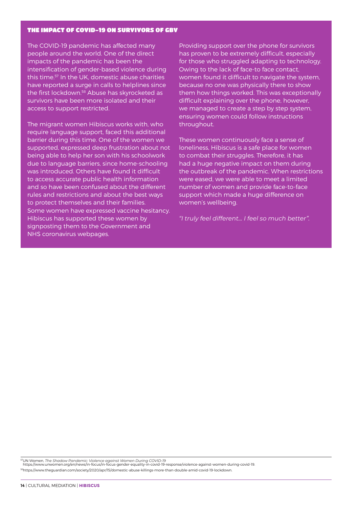#### THE IMPACT OF COVID-19 ON SURVIVORS OF GBV

The COVID-19 pandemic has affected many people around the world. One of the direct impacts of the pandemic has been the intensification of gender-based violence during this time.57 In the UK, domestic abuse charities have reported a surge in calls to helplines since the first lockdown.58 Abuse has skyrocketed as survivors have been more isolated and their access to support restricted.

The migrant women Hibiscus works with, who require language support, faced this additional barrier during this time. One of the women we supported, expressed deep frustration about not being able to help her son with his schoolwork due to language barriers, since home-schooling was introduced. Others have found it difficult to access accurate public health information and so have been confused about the different rules and restrictions and about the best ways to protect themselves and their families. Some women have expressed vaccine hesitancy. Hibiscus has supported these women by signposting them to the Government and NHS coronavirus webpages.

Providing support over the phone for survivors has proven to be extremely difficult, especially for those who struggled adapting to technology. Owing to the lack of face-to face contact, women found it difficult to navigate the system, because no one was physically there to show them how things worked. This was exceptionally difficult explaining over the phone, however, we managed to create a step by step system, ensuring women could follow instructions throughout.

These women continuously face a sense of loneliness, Hibiscus is a safe place for women to combat their struggles. Therefore, it has had a huge negative impact on them during the outbreak of the pandemic. When restrictions were eased, we were able to meet a limited number of women and provide face-to-face support which made a huge difference on women's wellbeing.

*"I truly feel different... I feel so much better".*

57UN Women, *The Shadow Pandemic: Violence against Women During COVID-19* https://www.unwomen.org/en/news/in-focus/in-focus-gender-equality-in-covid-19-response/violence-against-women-during-covid-19. 58https://www.theguardian.com/society/2020/apr/15/domestic-abuse-killings-more-than-double-amid-covid-19-lockdown.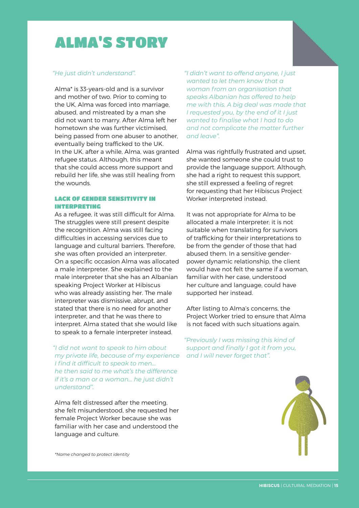### ALMA'S STORY

#### *"He just didn't understand".*

Alma\* is 33-years-old and is a survivor and mother of two. Prior to coming to the UK, Alma was forced into marriage, abused, and mistreated by a man she did not want to marry. After Alma left her hometown she was further victimised, being passed from one abuser to another, eventually being trafficked to the UK. In the UK, after a while, Alma, was granted refugee status. Although, this meant that she could access more support and rebuild her life, she was still healing from the wounds.

#### LACK OF GENDER SENSITIVITY IN INTERPRETING

As a refugee, it was still difficult for Alma. The struggles were still present despite the recognition. Alma was still facing difficulties in accessing services due to language and cultural barriers. Therefore, she was often provided an interpreter. On a specific occasion Alma was allocated a male interpreter. She explained to the male interpreter that she has an Albanian speaking Project Worker at Hibiscus who was already assisting her. The male interpreter was dismissive, abrupt, and stated that there is no need for another interpreter, and that he was there to interpret. Alma stated that she would like to speak to a female interpreter instead.

 *"I did not want to speak to him about my private life, because of my experience I find it difficult to speak to men… he then said to me what's the difference if it's a man or a woman... he just didn't understand".* 

Alma felt distressed after the meeting, she felt misunderstood, she requested her female Project Worker because she was familiar with her case and understood the language and culture.

 *"I didn't want to offend anyone, I just wanted to let them know that a woman from an organisation that speaks Albanian has offered to help me with this. A big deal was made that I requested you, by the end of it I just wanted to finalise what I had to do and not complicate the matter further and leave".*

Alma was rightfully frustrated and upset, she wanted someone she could trust to provide the language support. Although, she had a right to request this support, she still expressed a feeling of regret for requesting that her Hibiscus Project Worker interpreted instead.

It was not appropriate for Alma to be allocated a male interpreter; it is not suitable when translating for survivors of trafficking for their interpretations to be from the gender of those that had abused them. In a sensitive genderpower dynamic relationship, the client would have not felt the same if a woman familiar with her case, understood her culture and language, could have supported her instead.

After listing to Alma's concerns, the Project Worker tried to ensure that Alma is not faced with such situations again.

 *"Previously I was missing this kind of support and finally I got it from you, and I will never forget that".* 



*\*Name changed to protect identity*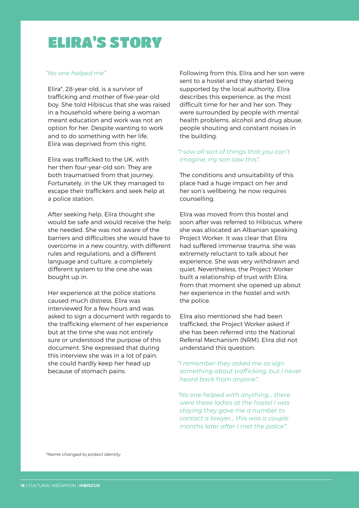### ELIRA'S STORY

#### *"No one helped me".*

Elira\*, 28-year-old, is a survivor of trafficking and mother of five-year-old boy. She told Hibiscus that she was raised in a household where being a woman meant education and work was not an option for her. Despite wanting to work and to do something with her life, Elira was deprived from this right.

Elira was trafficked to the UK, with her then four-year-old son. They are both traumatised from that journey. Fortunately, in the UK they managed to escape their traffickers and seek help at a police station.

After seeking help, Elira thought she would be safe and would receive the help she needed. She was not aware of the barriers and difficulties she would have to overcome in a new country, with different rules and regulations, and a different language and culture, a completely different system to the one she was bought up in.

Her experience at the police stations caused much distress. Elira was interviewed for a few hours and was asked to sign a document with regards to the trafficking element of her experience but at the time she was not entirely sure or understood the purpose of this document. She expressed that during this interview she was in a lot of pain; she could hardly keep her head up because of stomach pains.

Following from this, Elira and her son were sent to a hostel and they started being supported by the local authority. Elira describes this experience, as the most difficult time for her and her son. They were surrounded by people with mental health problems, alcohol and drug abuse, people shouting and constant noises in the building.

#### *"I saw all sort of things that you can't imagine, my son saw this".*

The conditions and unsuitability of this place had a huge impact on her and her son's wellbeing; he now requires counselling.

Elira was moved from this hostel and soon after was referred to Hibiscus. where she was allocated an Albanian speaking Project Worker. It was clear that Elira had suffered immense trauma, she was extremely reluctant to talk about her experience. She was very withdrawn and quiet. Nevertheless, the Project Worker built a relationship of trust with Elira, from that moment she opened up about her experience in the hostel and with the police.

Elira also mentioned she had been trafficked, the Project Worker asked if she has been referred into the National Referral Mechanism (NRM). Elira did not understand this question.

#### *"I remember they asked me so sign something about trafficking, but I never heard back from anyone".*

*"No one helped with anything… there were these ladies at the hostel I was staying they gave me a number to contact a lawyer… this was a couple months later after I met the police".*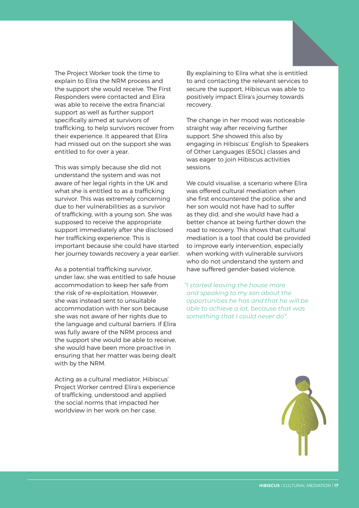The Project Worker took the time to explain to Elira the NRM process and the support she would receive. The First Responders were contacted and Elira was able to receive the extra financial support as well as further support specifically aimed at survivors of trafficking, to help survivors recover from their experience. It appeared that Elira had missed out on the support she was entitled to for over a year.

This was simply because she did not understand the system and was not aware of her legal rights in the UK and what she is entitled to as a trafficking survivor. This was extremely concerning due to her vulnerabilities as a survivor of trafficking, with a young son. She was supposed to receive the appropriate support immediately after she disclosed her trafficking experience. This is important because she could have started her journey towards recovery a year earlier.

As a potential trafficking survivor, under law, she was entitled to safe house accommodation to keep her safe from the risk of re-exploitation. However, she was instead sent to unsuitable accommodation with her son because she was not aware of her rights due to the language and cultural barriers. If Elira was fully aware of the NRM process and the support she would be able to receive, she would have been more proactive in ensuring that her matter was being dealt with by the NRM.

Acting as a cultural mediator, Hibiscus' Project Worker centred Elira's experience of trafficking, understood and applied the social norms that impacted her worldview in her work on her case.

By explaining to Elira what she is entitled to and contacting the relevant services to secure the support, Hibiscus was able to positively impact Elira's journey towards recovery.

The change in her mood was noticeable straight way after receiving further support. She showed this also by engaging in Hibiscus' English to Speakers of Other Languages (ESOL) classes and was eager to join Hibiscus activities sessions.

We could visualise, a scenario where Elira was offered cultural mediation when she first encountered the police, she and her son would not have had to suffer as they did, and she would have had a better chance at being further down the road to recovery. This shows that cultural mediation is a tool that could be provided to improve early intervention, especially when working with vulnerable survivors who do not understand the system and have suffered gender-based violence.

*"I started leaving the house more and speaking to my son about the opportunities he has and that he will be able to achieve a lot, because that was something that I could never do".*

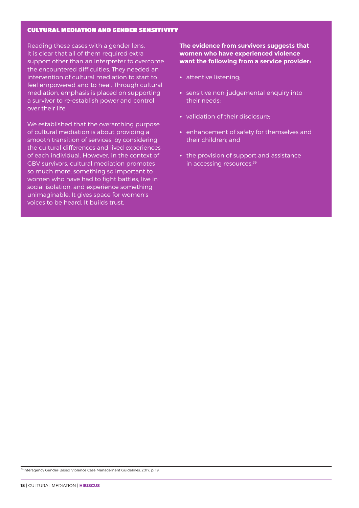#### CULTURAL MEDIATION AND GENDER SENSITIVITY

Reading these cases with a gender lens, it is clear that all of them required extra support other than an interpreter to overcome the encountered difficulties. They needed an intervention of cultural mediation to start to feel empowered and to heal. Through cultural mediation, emphasis is placed on supporting a survivor to re-establish power and control over their life.

We established that the overarching purpose of cultural mediation is about providing a smooth transition of services, by considering the cultural differences and lived experiences of each individual. However, in the context of GBV survivors, cultural mediation promotes so much more, something so important to women who have had to fight battles, live in social isolation, and experience something unimaginable. It gives space for women's voices to be heard. It builds trust.

**The evidence from survivors suggests that women who have experienced violence want the following from a service provider:**

- **•** attentive listening;
- **•** sensitive non-judgemental enquiry into their needs;
- **•** validation of their disclosure;
- **•** enhancement of safety for themselves and their children; and
- **•** the provision of support and assistance in accessing resources.59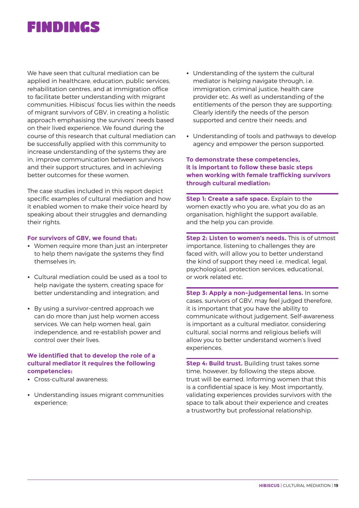### FINDINGS

We have seen that cultural mediation can be applied in healthcare, education, public services, rehabilitation centres, and at immigration office to facilitate better understanding with migrant communities. Hibiscus' focus lies within the needs of migrant survivors of GBV, in creating a holistic approach emphasising the survivors' needs based on their lived experience. We found during the course of this research that cultural mediation can be successfully applied with this community to increase understanding of the systems they are in, improve communication between survivors and their support structures, and in achieving better outcomes for these women.

The case studies included in this report depict specific examples of cultural mediation and how it enabled women to make their voice heard by speaking about their struggles and demanding their rights.

#### **For survivors of GBV, we found that:**

- **•** Women require more than just an interpreter to help them navigate the systems they find themselves in;
- **•** Cultural mediation could be used as a tool to help navigate the system, creating space for better understanding and integration; and
- **•** By using a survivor-centred approach we can do more than just help women access services. We can help women heal, gain independence, and re-establish power and control over their lives.

#### **We identified that to develop the role of a cultural mediator it requires the following competencies:**

- **•** Cross-cultural awareness;
- **•** Understanding issues migrant communities experience;
- **•** Understanding of the system the cultural mediator is helping navigate through, i.e. immigration, criminal justice, health care provider etc. As well as understanding of the entitlements of the person they are supporting; Clearly identify the needs of the person supported and centre their needs; and
- **•** Understanding of tools and pathways to develop agency and empower the person supported.

#### **To demonstrate these competencies, it is important to follow these basic steps when working with female trafficking survivors through cultural mediation:**

**Step 1: Create a safe space.** Explain to the women exactly who you are, what you do as an organisation, highlight the support available, and the help you can provide.

**Step 2: Listen to women's needs.** This is of utmost importance, listening to challenges they are faced with, will allow you to better understand the kind of support they need i.e. medical, legal, psychological, protection services, educational, or work related etc.

**Step 3: Apply a non-judgemental lens.** In some cases, survivors of GBV, may feel judged therefore, it is important that you have the ability to communicate without judgement. Self-awareness is important as a cultural mediator, considering cultural, social norms and religious beliefs will allow you to better understand women's lived experiences.

**Step 4: Build trust.** Building trust takes some time, however, by following the steps above, trust will be earned. Informing women that this is a confidential space is key. Most importantly, validating experiences provides survivors with the space to talk about their experience and creates a trustworthy but professional relationship.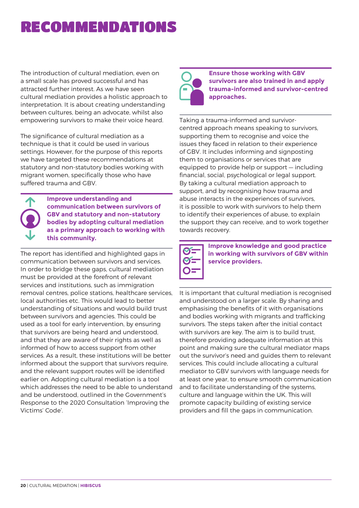### RECOMMENDATIONS

The introduction of cultural mediation, even on a small scale has proved successful and has attracted further interest. As we have seen cultural mediation provides a holistic approach to interpretation. It is about creating understanding between cultures, being an advocate, whilst also empowering survivors to make their voice heard.

The significance of cultural mediation as a technique is that it could be used in various settings. However, for the purpose of this reports we have targeted these recommendations at statutory and non-statutory bodies working with migrant women, specifically those who have suffered trauma and GBV.



**Improve understanding and communication between survivors of GBV and statutory and non-statutory bodies by adopting cultural mediation as a primary approach to working with this community.**

The report has identified and highlighted gaps in communication between survivors and services. In order to bridge these gaps, cultural mediation must be provided at the forefront of relevant services and institutions, such as immigration removal centres, police stations, healthcare services, local authorities etc. This would lead to better understanding of situations and would build trust between survivors and agencies. This could be used as a tool for early intervention, by ensuring that survivors are being heard and understood, and that they are aware of their rights as well as informed of how to access support from other services. As a result, these institutions will be better informed about the support that survivors require, and the relevant support routes will be identified earlier on. Adopting cultural mediation is a tool which addresses the need to be able to understand and be understood, outlined in the Government's Response to the 2020 Consultation 'Improving the Victims' Code'.



**Ensure those working with GBV survivors are also trained in and apply trauma-informed and survivor-centred approaches.**

Taking a trauma-informed and survivorcentred approach means speaking to survivors, supporting them to recognise and voice the issues they faced in relation to their experience of GBV. It includes informing and signposting them to organisations or services that are equipped to provide help or support — including financial, social, psychological or legal support. By taking a cultural mediation approach to support, and by recognising how trauma and abuse interacts in the experiences of survivors, it is possible to work with survivors to help them to identify their experiences of abuse, to explain the support they can receive, and to work together towards recovery.



**Improve knowledge and good practice in working with survivors of GBV within service providers.**

It is important that cultural mediation is recognised and understood on a larger scale. By sharing and emphasising the benefits of it with organisations and bodies working with migrants and trafficking survivors. The steps taken after the initial contact with survivors are key. The aim is to build trust, therefore providing adequate information at this point and making sure the cultural mediator maps out the survivor's need and guides them to relevant services. This could include allocating a cultural mediator to GBV survivors with language needs for at least one year, to ensure smooth communication and to facilitate understanding of the systems, culture and language within the UK. This will promote capacity building of existing service providers and fill the gaps in communication.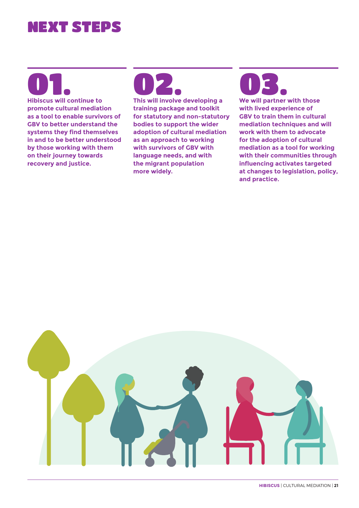### NEXT STEPS

01. **Hibiscus will continue to** 

**promote cultural mediation as a tool to enable survivors of GBV to better understand the systems they find themselves in and to be better understood by those working with them on their journey towards recovery and justice.** 



**training package and toolkit for statutory and non-statutory bodies to support the wider adoption of cultural mediation as an approach to working with survivors of GBV with language needs, and with the migrant population more widely.** 

## 03.

**We will partner with those with lived experience of GBV to train them in cultural mediation techniques and will work with them to advocate for the adoption of cultural mediation as a tool for working with their communities through influencing activates targeted at changes to legislation, policy, and practice.** 

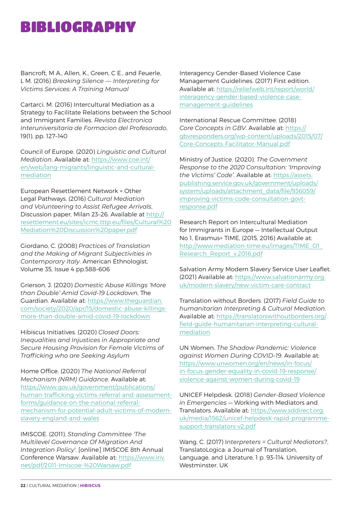### BIBLIOGRAPHY

Bancroft, M A., Allen, K., Green, C E., and Feuerle, L M. (2016) *Breaking Silence — Interpreting for Victims Services: A Training Manual*

Cartarci, M. (2016) Intercultural Mediation as a Strategy to Facilitate Relations between the School and Immigrant Families. *Revista Electronica Interuniversitaria de Formacion del Profesorado*, 19(1), pp. 127–140

Council of Europe. (2020) *Linguistic and Cultural Mediation*. Available at: [https://www.coe.int/](https://www.coe.int/en/web/lang-migrants/linguistic-and-cultural-mediation) [en/web/lang-migrants/linguistic-and-cultural](https://www.coe.int/en/web/lang-migrants/linguistic-and-cultural-mediation)[mediation](https://www.coe.int/en/web/lang-migrants/linguistic-and-cultural-mediation)

European Resettlement Network + Other Legal Pathways. (2016) *Cultural Mediation and Volunteering to Assist Refugee Arrivals*, Discussion paper, Milan 23–26. Available at [http://](http://resettlement.eu/sites/icmc.tttp.eu/files/Cultural%20Mediation%20Discussion%20paper.pdf) [resettlement.eu/sites/icmc.tttp.eu/files/Cultural%20](http://resettlement.eu/sites/icmc.tttp.eu/files/Cultural%20Mediation%20Discussion%20paper.pdf) [Mediation%20Discussion%20paper.pdf](http://resettlement.eu/sites/icmc.tttp.eu/files/Cultural%20Mediation%20Discussion%20paper.pdf)

Giordano, C. (2008) *Practices of Translation and the Making of Migrant Subjectivities in Contemporary Italy*. American Ethnologist, Volume 35, Issue 4 pp.588–606

Grierson, J. (2020) *Domestic Abuse Killings 'More than Double' Amid Covid-19 Lockdown*, The Guardian. Available at: [https://www.theguardian.](https://www.theguardian.com/society/2020/apr/15/domestic-abuse-killings-more-than-double-amid-covid-19-lockdown) [com/society/2020/apr/15/domestic-abuse-killings](https://www.theguardian.com/society/2020/apr/15/domestic-abuse-killings-more-than-double-amid-covid-19-lockdown)[more-than-double-amid-covid-19-lockdown](https://www.theguardian.com/society/2020/apr/15/domestic-abuse-killings-more-than-double-amid-covid-19-lockdown)

Hibiscus Initiatives. (2020) *Closed Doors: Inequalities and Injustices in Appropriate and Secure Housing Provision for Female Victims of Trafficking who are Seeking Asylum*

Home Office. (2020) *The National Referral Mechanism (NRM) Guidance*. Available at: [https://www.gov.uk/government/publications/](https://www.gov.uk/government/publications/human-trafficking-victims-referral-and-assessment-forms/guidance-on-the-national-referral-mechanism-for-potential-adult-victims-of-modern-slavery-england-and-wales) [human-trafficking-victims-referral-and-assessment](https://www.gov.uk/government/publications/human-trafficking-victims-referral-and-assessment-forms/guidance-on-the-national-referral-mechanism-for-potential-adult-victims-of-modern-slavery-england-and-wales)[forms/guidance-on-the-national-referral](https://www.gov.uk/government/publications/human-trafficking-victims-referral-and-assessment-forms/guidance-on-the-national-referral-mechanism-for-potential-adult-victims-of-modern-slavery-england-and-wales)[mechanism-for-potential-adult-victims-of-modern](https://www.gov.uk/government/publications/human-trafficking-victims-referral-and-assessment-forms/guidance-on-the-national-referral-mechanism-for-potential-adult-victims-of-modern-slavery-england-and-wales)[slavery-england-and-wales](https://www.gov.uk/government/publications/human-trafficking-victims-referral-and-assessment-forms/guidance-on-the-national-referral-mechanism-for-potential-adult-victims-of-modern-slavery-england-and-wales)

IMISCOE. (2011). *Standing Committee 'The Multilevel Governance Of Migration And Integration Policy'*. [online] IMISCOE 8th Annual Conference Warsaw. Available at: [https://www.iriv.](https://www.iriv.net/pdf/2011-Imiscoe-%20Warsaw.pdf) [net/pdf/2011-Imiscoe-%20Warsaw.pdf](https://www.iriv.net/pdf/2011-Imiscoe-%20Warsaw.pdf)

Interagency Gender-Based Violence Case Management Guidelines. (2017) First edition. Available at: [https://reliefweb.int/report/world/](https://reliefweb.int/report/world/interagency-gender-based-violence-case-management-guidelines) [interagency-gender-based-violence-case](https://reliefweb.int/report/world/interagency-gender-based-violence-case-management-guidelines)[management-guidelines](https://reliefweb.int/report/world/interagency-gender-based-violence-case-management-guidelines)

International Rescue Committee. (2018) *Core Concepts in GBV*. Available at: [https://](https://gbvresponders.org/wp-content/uploads/2015/07/Core-Concepts-Facilitator-Manual.pdf) [gbvresponders.org/wp-content/uploads/2015/07/](https://gbvresponders.org/wp-content/uploads/2015/07/Core-Concepts-Facilitator-Manual.pdf) [Core-Concepts-Facilitator-Manual.pdf](https://gbvresponders.org/wp-content/uploads/2015/07/Core-Concepts-Facilitator-Manual.pdf)

Ministry of Justice. (2020). *The Government Response to the 2020 Consultation: 'Improving the Victims' Code'*. Available at: [https://assets.](https://assets.publishing.service.gov.uk/government/uploads/system/uploads/attachment_data/file/936059/improving-victims-code-consultation-govt-response.pdf) [publishing.service.gov.uk/government/uploads/](https://assets.publishing.service.gov.uk/government/uploads/system/uploads/attachment_data/file/936059/improving-victims-code-consultation-govt-response.pdf) [system/uploads/attachment\\_data/file/936059/](https://assets.publishing.service.gov.uk/government/uploads/system/uploads/attachment_data/file/936059/improving-victims-code-consultation-govt-response.pdf) [improving-victims-code-consultation-govt](https://assets.publishing.service.gov.uk/government/uploads/system/uploads/attachment_data/file/936059/improving-victims-code-consultation-govt-response.pdf)[response.pdf](https://assets.publishing.service.gov.uk/government/uploads/system/uploads/attachment_data/file/936059/improving-victims-code-consultation-govt-response.pdf)

Research Report on Intercultural Mediation for Immigrants in Europe — Intellectual Output No 1, Erasmus+ TIME, (2015, 2016) Available at: [http://www.mediation-time.eu/images/TIME\\_O1\\_](http://www.mediation-time.eu/images/TIME_O1_Research_Report_v.2016.pdf) [Research\\_Report\\_v.2016.pdf](http://www.mediation-time.eu/images/TIME_O1_Research_Report_v.2016.pdf)

Salvation Army Modern Slavery Service User Leaflet. (2021) Available at: [https://www.salvationarmy.org.](https://www.salvationarmy.org.uk/modern-slavery/new-victim-care-contract) [uk/modern-slavery/new-victim-care-contract](https://www.salvationarmy.org.uk/modern-slavery/new-victim-care-contract)

Translation without Borders. (2017) *Field Guide to humanitarian Interpreting & Cultural Mediation*. Available at: [https://translatorswithoutborders.org/](https://translatorswithoutborders.org/field-guide-humanitarian-interpreting-cultural-mediation) [field-guide-humanitarian-interpreting-cultural](https://translatorswithoutborders.org/field-guide-humanitarian-interpreting-cultural-mediation)[mediation](https://translatorswithoutborders.org/field-guide-humanitarian-interpreting-cultural-mediation)

UN Women, *The Shadow Pandemic: Violence against Women During COVID-19*. Available at: [https://www.unwomen.org/en/news/in-focus/](https://www.unwomen.org/en/news/in-focus/in-focus-gender-equality-in-covid-19-response/violence-agai) [in-focus-gender-equality-in-covid-19-response/](https://www.unwomen.org/en/news/in-focus/in-focus-gender-equality-in-covid-19-response/violence-agai) [violence-against-women-during-covid-19](https://www.unwomen.org/en/news/in-focus/in-focus-gender-equality-in-covid-19-response/violence-agai)

UNICEF Helpdesk. (2018) *Gender-Based Violence in Emergencies* — Working with Mediators and Translators. Available at: [https://www.sddirect.org.](https://www.sddirect.org.uk/media/1562/unicef-helpdesk-rapid-programme-support-translators-v2.pdf) [uk/media/1562/unicef-helpdesk-rapid-programme](https://www.sddirect.org.uk/media/1562/unicef-helpdesk-rapid-programme-support-translators-v2.pdf)[support-translators-v2.pdf](https://www.sddirect.org.uk/media/1562/unicef-helpdesk-rapid-programme-support-translators-v2.pdf)

Wang, C. (2017) I*nterpreters = Cultural Mediators?*, TranslatoLogica: a Journal of Translation, Language, and Literature, 1 p. 93–114. University of Westminster, UK